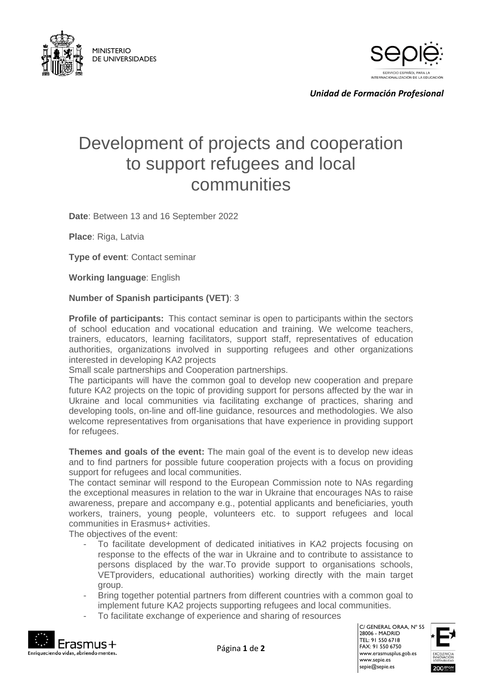



*Unidad de Formación Profesional*

## Development of projects and cooperation to support refugees and local communities

**Date**: Between 13 and 16 September 2022

**Place**: Riga, Latvia

**Type of event**: Contact seminar

**Working language**: English

## **Number of Spanish participants (VET)**: 3

**Profile of participants:** This contact seminar is open to participants within the sectors of school education and vocational education and training. We welcome teachers, trainers, educators, learning facilitators, support staff, representatives of education authorities, organizations involved in supporting refugees and other organizations interested in developing KA2 projects

Small scale partnerships and Cooperation partnerships.

The participants will have the common goal to develop new cooperation and prepare future KA2 projects on the topic of providing support for persons affected by the war in Ukraine and local communities via facilitating exchange of practices, sharing and developing tools, on-line and off-line guidance, resources and methodologies. We also welcome representatives from organisations that have experience in providing support for refugees.

**Themes and goals of the event:** The main goal of the event is to develop new ideas and to find partners for possible future cooperation projects with a focus on providing support for refugees and local communities.

The contact seminar will respond to the European Commission note to NAs regarding the exceptional measures in relation to the war in Ukraine that encourages NAs to raise awareness, prepare and accompany e.g., potential applicants and beneficiaries, youth workers, trainers, young people, volunteers etc. to support refugees and local communities in Erasmus+ activities.

The objectives of the event:

- To facilitate development of dedicated initiatives in KA2 projects focusing on response to the effects of the war in Ukraine and to contribute to assistance to persons displaced by the war.To provide support to organisations schools, VETproviders, educational authorities) working directly with the main target group.
- Bring together potential partners from different countries with a common goal to implement future KA2 projects supporting refugees and local communities.
- To facilitate exchange of experience and sharing of resources